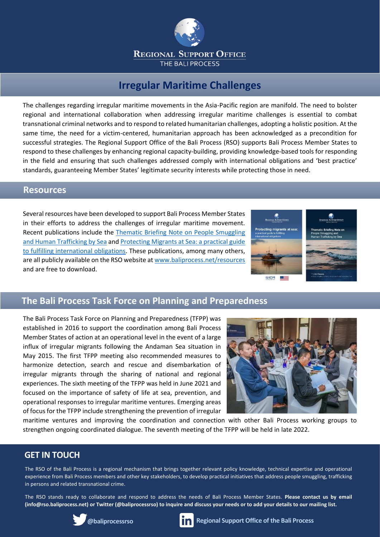

# **Irregular Maritime Challenges**

The challenges regarding irregular maritime movements in the Asia-Pacific region are manifold. The need to bolster regional and international collaboration when addressing irregular maritime challenges is essential to combat transnational criminal networks and to respond to related humanitarian challenges, adopting a holistic position. At the same time, the need for a victim-centered, humanitarian approach has been acknowledged as a precondition for successful strategies. The Regional Support Office of the Bali Process (RSO) supports Bali Process Member States to respond to these challenges by enhancing regional capacity-building, providing knowledge-based tools for responding in the field and ensuring that such challenges addressed comply with international obligations and 'best practice' standards, guaranteeing Member States' legitimate security interests while protecting those in need.

### **Resources**

Several resources have been developed to support Bali Process Member States in their efforts to address the challenges of irregular maritime movement. Recent publications include the [Thematic Briefing Note on People Smuggling](https://www.baliprocess.net/UserFiles/baliprocess/File/TIP%20and%20SOM%20by%20Sea.pdf)  [and Human Trafficking by Sea](https://www.baliprocess.net/UserFiles/baliprocess/File/TIP%20and%20SOM%20by%20Sea.pdf) and [Protecting Migrants at Sea: a practical guide](https://www.baliprocess.net/regional-support-office/protecting-migrants-at-sea-practical-guide-to-fulfilling-international-obligations-/)  [to fulfilling international obligations.](https://www.baliprocess.net/regional-support-office/protecting-migrants-at-sea-practical-guide-to-fulfilling-international-obligations-/) These publications, among many others, are all publicly available on the RSO website a[t www.baliprocess.net/resources](http://www.baliprocess.net/resources) and are free to download.



## **The Bali Process Task Force on Planning and Preparedness**

The Bali Process Task Force on Planning and Preparedness (TFPP) was established in 2016 to support the coordination among Bali Process Member States of action at an operational level in the event of a large influx of irregular migrants following the Andaman Sea situation in May 2015. The first TFPP meeting also recommended measures to harmonize detection, search and rescue and disembarkation of irregular migrants through the sharing of national and regional experiences. The sixth meeting of the TFPP was held in June 2021 and focused on the importance of safety of life at sea, prevention, and operational responses to irregular maritime ventures. Emerging areas of focus for the TFPP include strengthening the prevention of irregular



maritime ventures and improving the coordination and connection with other Bali Process working groups to strengthen ongoing coordinated dialogue. The seventh meeting of the TFPP will be held in late 2022.

## **GET IN TOUCH**

The RSO of the Bali Process is a regional mechanism that brings together relevant policy knowledge, technical expertise and operational experience from Bali Process members and other key stakeholders, to develop practical initiatives that address people smuggling, trafficking in persons and related transnational crime.

The RSO stands ready to collaborate and respond to address the needs of Bali Process Member States. **Please contact us by email (info@rso.baliprocess.net) or Twitter (@baliprocessrso) to inquire and discuss your needs or to add your details to our mailing list.**